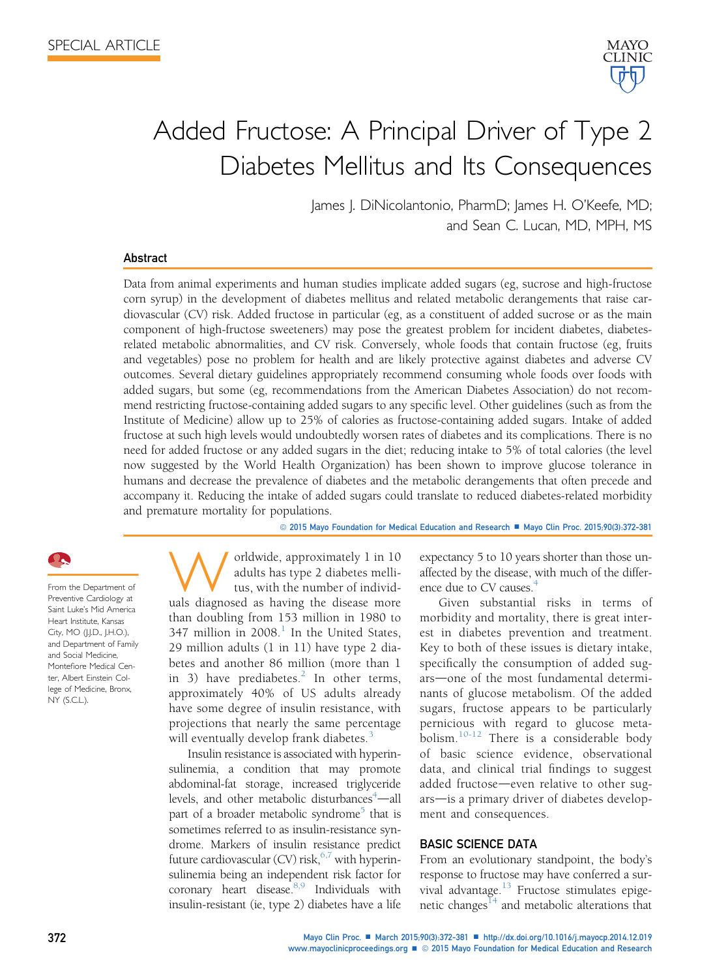

# Added Fructose: A Principal Driver of Type 2 Diabetes Mellitus and Its Consequences

James J. DiNicolantonio, PharmD; James H. O'Keefe, MD; and Sean C. Lucan, MD, MPH, MS

#### Abstract

Data from animal experiments and human studies implicate added sugars (eg, sucrose and high-fructose corn syrup) in the development of diabetes mellitus and related metabolic derangements that raise cardiovascular (CV) risk. Added fructose in particular (eg, as a constituent of added sucrose or as the main component of high-fructose sweeteners) may pose the greatest problem for incident diabetes, diabetesrelated metabolic abnormalities, and CV risk. Conversely, whole foods that contain fructose (eg, fruits and vegetables) pose no problem for health and are likely protective against diabetes and adverse CV outcomes. Several dietary guidelines appropriately recommend consuming whole foods over foods with added sugars, but some (eg, recommendations from the American Diabetes Association) do not recommend restricting fructose-containing added sugars to any specific level. Other guidelines (such as from the Institute of Medicine) allow up to 25% of calories as fructose-containing added sugars. Intake of added fructose at such high levels would undoubtedly worsen rates of diabetes and its complications. There is no need for added fructose or any added sugars in the diet; reducing intake to 5% of total calories (the level now suggested by the World Health Organization) has been shown to improve glucose tolerance in humans and decrease the prevalence of diabetes and the metabolic derangements that often precede and accompany it. Reducing the intake of added sugars could translate to reduced diabetes-related morbidity and premature mortality for populations.

© 2015 Mayo Foundation for Medical Education and Research ■ Mayo Clin Proc. 2015;90(3):372-381

From the Department of Preventive Cardiology at Saint Luke's Mid America Heart Institute, Kansas City, MO (J.J.D., J.H.O.), and Department of Family and Social Medicine, Montefiore Medical Center, Albert Einstein College of Medicine, Bronx, NY (S.C.L.).

Worldwide, approximately 1 in 10 adults has type 2 diabetes melli-<br>tus, with the number of individ-<br>uals diagnosed as having the disease more adults has type 2 diabetes mellitus, with the number of individthan doubling from 153 million in 1980 to 347 million in  $2008<sup>1</sup>$  $2008<sup>1</sup>$  $2008<sup>1</sup>$  In the United States, 29 million adults (1 in 11) have type 2 diabetes and another 86 million (more than 1 in 3) have prediabetes. $^{2}$  $^{2}$  $^{2}$  In other terms, approximately 40% of US adults already have some degree of insulin resistance, with projections that nearly the same percentage will eventually develop frank diabetes.<sup>[3](#page-6-0)</sup>

Insulin resistance is associated with hyperinsulinemia, a condition that may promote abdominal-fat storage, increased triglyceride levels, and other metabolic disturbances<sup>[4](#page-6-0)</sup>-all part of a broader metabolic syndrome<sup>5</sup> that is sometimes referred to as insulin-resistance syndrome. Markers of insulin resistance predict future cardiovascular (CV) risk,  $6,7$  with hyperinsulinemia being an independent risk factor for coronary heart disease.<sup>8,9</sup> Individuals with insulin-resistant (ie, type 2) diabetes have a life expectancy 5 to 10 years shorter than those unaffected by the disease, with much of the difference due to CV causes.<sup>4</sup>

Given substantial risks in terms of morbidity and mortality, there is great interest in diabetes prevention and treatment. Key to both of these issues is dietary intake, specifically the consumption of added sugars—one of the most fundamental determinants of glucose metabolism. Of the added sugars, fructose appears to be particularly pernicious with regard to glucose meta-bolism.<sup>[10-12](#page-6-0)</sup> There is a considerable body of basic science evidence, observational data, and clinical trial findings to suggest added fructose-even relative to other sugars-is a primary driver of diabetes development and consequences.

## BASIC SCIENCE DATA

From an evolutionary standpoint, the body's response to fructose may have conferred a survival advantage. $13$  Fructose stimulates epigenetic changes $14$  and metabolic alterations that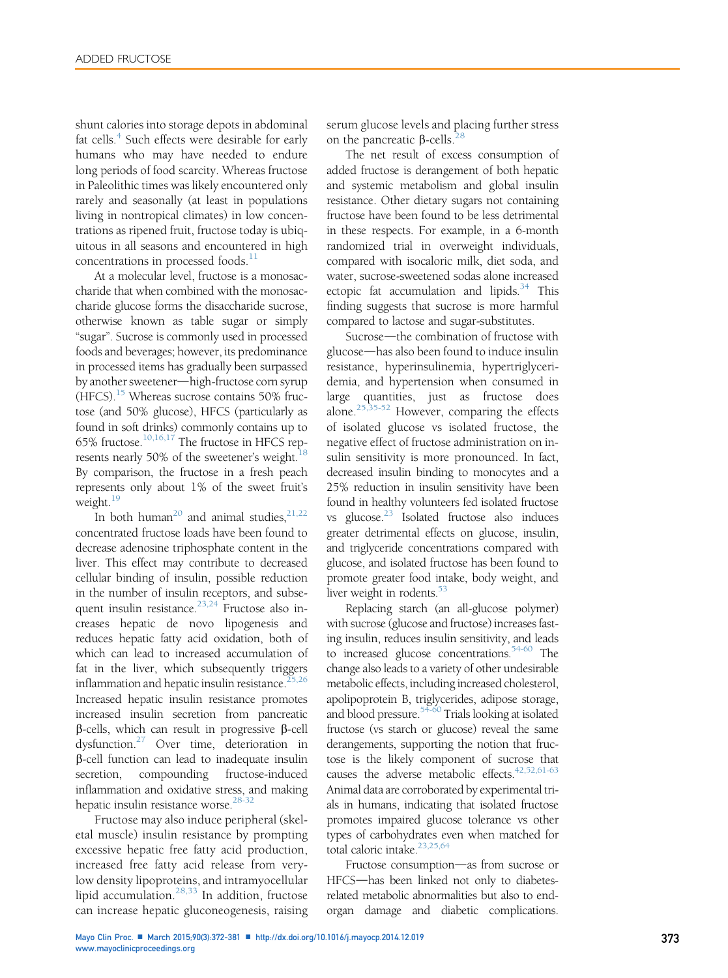shunt calories into storage depots in abdominal fat cells.<sup>[4](#page-6-0)</sup> Such effects were desirable for early humans who may have needed to endure long periods of food scarcity. Whereas fructose in Paleolithic times was likely encountered only rarely and seasonally (at least in populations living in nontropical climates) in low concentrations as ripened fruit, fructose today is ubiquitous in all seasons and encountered in high concentrations in processed foods. $<sup>1</sup>$ </sup>

At a molecular level, fructose is a monosaccharide that when combined with the monosaccharide glucose forms the disaccharide sucrose, otherwise known as table sugar or simply "sugar". Sucrose is commonly used in processed foods and beverages; however, its predominance in processed items has gradually been surpassed by another sweetener—high-fructose corn syrup (HFCS).<sup>[15](#page-6-0)</sup> Whereas sucrose contains 50% fructose (and 50% glucose), HFCS (particularly as found in soft drinks) commonly contains up to 65% fructose.[10,16,17](#page-6-0) The fructose in HFCS represents nearly 50% of the sweetener's weight.<sup>18</sup> By comparison, the fructose in a fresh peach represents only about 1% of the sweet fruit's weight.<sup>19</sup>

In both human<sup>20</sup> and animal studies.<sup>[21,22](#page-6-0)</sup> concentrated fructose loads have been found to decrease adenosine triphosphate content in the liver. This effect may contribute to decreased cellular binding of insulin, possible reduction in the number of insulin receptors, and subsequent insulin resistance. $23,24$  Fructose also increases hepatic de novo lipogenesis and reduces hepatic fatty acid oxidation, both of which can lead to increased accumulation of fat in the liver, which subsequently triggers inflammation and hepatic insulin resistance. $25,26$ Increased hepatic insulin resistance promotes increased insulin secretion from pancreatic  $\beta$ -cells, which can result in progressive  $\beta$ -cell dysfunction.[27](#page-6-0) Over time, deterioration in b-cell function can lead to inadequate insulin secretion, compounding fructose-induced inflammation and oxidative stress, and making hepatic insulin resistance worse.<sup>28-32</sup>

Fructose may also induce peripheral (skeletal muscle) insulin resistance by prompting excessive hepatic free fatty acid production, increased free fatty acid release from verylow density lipoproteins, and intramyocellular lipid accumulation.<sup>[28,33](#page-6-0)</sup> In addition, fructose can increase hepatic gluconeogenesis, raising

serum glucose levels and placing further stress on the pancreatic  $\beta$ -cells.<sup>[28](#page-6-0)</sup>

The net result of excess consumption of added fructose is derangement of both hepatic and systemic metabolism and global insulin resistance. Other dietary sugars not containing fructose have been found to be less detrimental in these respects. For example, in a 6-month randomized trial in overweight individuals, compared with isocaloric milk, diet soda, and water, sucrose-sweetened sodas alone increased ectopic fat accumulation and lipids. $34$  This finding suggests that sucrose is more harmful compared to lactose and sugar-substitutes.

Sucrose—the combination of fructose with glucose—has also been found to induce insulin resistance, hyperinsulinemia, hypertriglyceridemia, and hypertension when consumed in large quantities, just as fructose does alone. $25,35-52$  However, comparing the effects of isolated glucose vs isolated fructose, the negative effect of fructose administration on insulin sensitivity is more pronounced. In fact, decreased insulin binding to monocytes and a 25% reduction in insulin sensitivity have been found in healthy volunteers fed isolated fructose vs glucose. $^{23}$  $^{23}$  $^{23}$  Isolated fructose also induces greater detrimental effects on glucose, insulin, and triglyceride concentrations compared with glucose, and isolated fructose has been found to promote greater food intake, body weight, and liver weight in rodents.<sup>[53](#page-7-0)</sup>

Replacing starch (an all-glucose polymer) with sucrose (glucose and fructose) increases fasting insulin, reduces insulin sensitivity, and leads to increased glucose concentrations.<sup>[54-60](#page-7-0)</sup> The change also leads to a variety of other undesirable metabolic effects, including increased cholesterol, apolipoprotein B, triglycerides, adipose storage, and blood pressure.<sup>[54-60](#page-7-0)</sup> Trials looking at isolated fructose (vs starch or glucose) reveal the same derangements, supporting the notion that fructose is the likely component of sucrose that causes the adverse metabolic effects. $42,52,61-63$ Animal data are corroborated by experimental trials in humans, indicating that isolated fructose promotes impaired glucose tolerance vs other types of carbohydrates even when matched for total caloric intake.[23,25,64](#page-6-0)

Fructose consumption-as from sucrose or HFCS-has been linked not only to diabetesrelated metabolic abnormalities but also to endorgan damage and diabetic complications.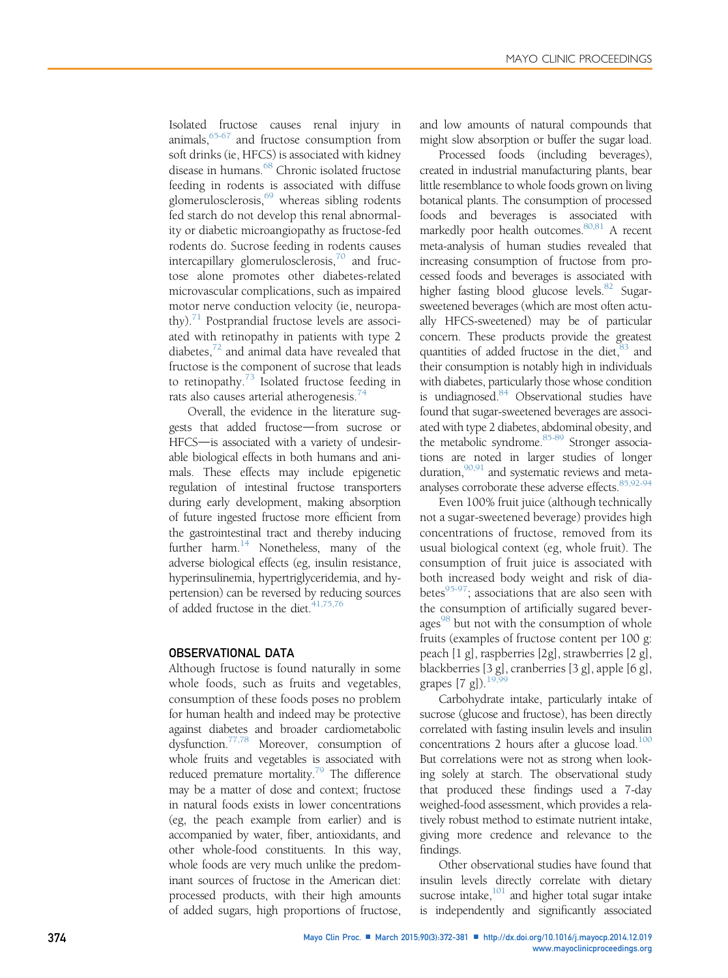Isolated fructose causes renal injury in animals[,65-67](#page-7-0) and fructose consumption from soft drinks (ie, HFCS) is associated with kidney disease in humans.<sup>[68](#page-7-0)</sup> Chronic isolated fructose feeding in rodents is associated with diffuse glomerulosclerosis, $69$  whereas sibling rodents fed starch do not develop this renal abnormality or diabetic microangiopathy as fructose-fed rodents do. Sucrose feeding in rodents causes intercapillary glomerulosclerosis, $70$  and fructose alone promotes other diabetes-related microvascular complications, such as impaired motor nerve conduction velocity (ie, neuropathy). $71$  Postprandial fructose levels are associated with retinopathy in patients with type 2 diabetes, $72$  and animal data have revealed that fructose is the component of sucrose that leads to retinopathy. $73$  Isolated fructose feeding in rats also causes arterial atherogenesis.<sup>[74](#page-7-0)</sup>

Overall, the evidence in the literature suggests that added fructose-from sucrose or HFCS-is associated with a variety of undesirable biological effects in both humans and animals. These effects may include epigenetic regulation of intestinal fructose transporters during early development, making absorption of future ingested fructose more efficient from the gastrointestinal tract and thereby inducing further harm. $^{14}$  Nonetheless, many of the adverse biological effects (eg, insulin resistance, hyperinsulinemia, hypertriglyceridemia, and hypertension) can be reversed by reducing sources of added fructose in the diet. $41,75,76$ 

### OBSERVATIONAL DATA

Although fructose is found naturally in some whole foods, such as fruits and vegetables, consumption of these foods poses no problem for human health and indeed may be protective against diabetes and broader cardiometabolic dysfunction.[77,78](#page-8-0) Moreover, consumption of whole fruits and vegetables is associated with reduced premature mortality.<sup>79</sup> The difference may be a matter of dose and context; fructose in natural foods exists in lower concentrations (eg, the peach example from earlier) and is accompanied by water, fiber, antioxidants, and other whole-food constituents. In this way, whole foods are very much unlike the predominant sources of fructose in the American diet: processed products, with their high amounts of added sugars, high proportions of fructose,

and low amounts of natural compounds that might slow absorption or buffer the sugar load.

Processed foods (including beverages), created in industrial manufacturing plants, bear little resemblance to whole foods grown on living botanical plants. The consumption of processed foods and beverages is associated with markedly poor health outcomes.<sup>80,81</sup> A recent meta-analysis of human studies revealed that increasing consumption of fructose from processed foods and beverages is associated with higher fasting blood glucose levels.<sup>82</sup> Sugarsweetened beverages (which are most often actually HFCS-sweetened) may be of particular concern. These products provide the greatest quantities of added fructose in the diet, <sup>83</sup> and their consumption is notably high in individuals with diabetes, particularly those whose condition is undiagnosed.<sup>84</sup> Observational studies have found that sugar-sweetened beverages are associated with type 2 diabetes, abdominal obesity, and the metabolic syndrome.<sup>[85-89](#page-8-0)</sup> Stronger associations are noted in larger studies of longer duration,  $90,91$  and systematic reviews and metaanalyses corroborate these adverse effects.<sup>85,92-94</sup>

Even 100% fruit juice (although technically not a sugar-sweetened beverage) provides high concentrations of fructose, removed from its usual biological context (eg, whole fruit). The consumption of fruit juice is associated with both increased body weight and risk of diabetes $^{95-97}$  $^{95-97}$  $^{95-97}$ ; associations that are also seen with the consumption of artificially sugared bever-ages<sup>[98](#page-8-0)</sup> but not with the consumption of whole fruits (examples of fructose content per 100 g: peach [1 g], raspberries [2g], strawberries [2 g], blackberries [3 g], cranberries [3 g], apple [6 g], grapes  $[7 \text{ g}])$ .<sup>19</sup>

Carbohydrate intake, particularly intake of sucrose (glucose and fructose), has been directly correlated with fasting insulin levels and insulin concentrations 2 hours after a glucose load. $100$ But correlations were not as strong when looking solely at starch. The observational study that produced these findings used a 7-day weighed-food assessment, which provides a relatively robust method to estimate nutrient intake, giving more credence and relevance to the findings.

Other observational studies have found that insulin levels directly correlate with dietary sucrose intake, $101$  and higher total sugar intake is independently and significantly associated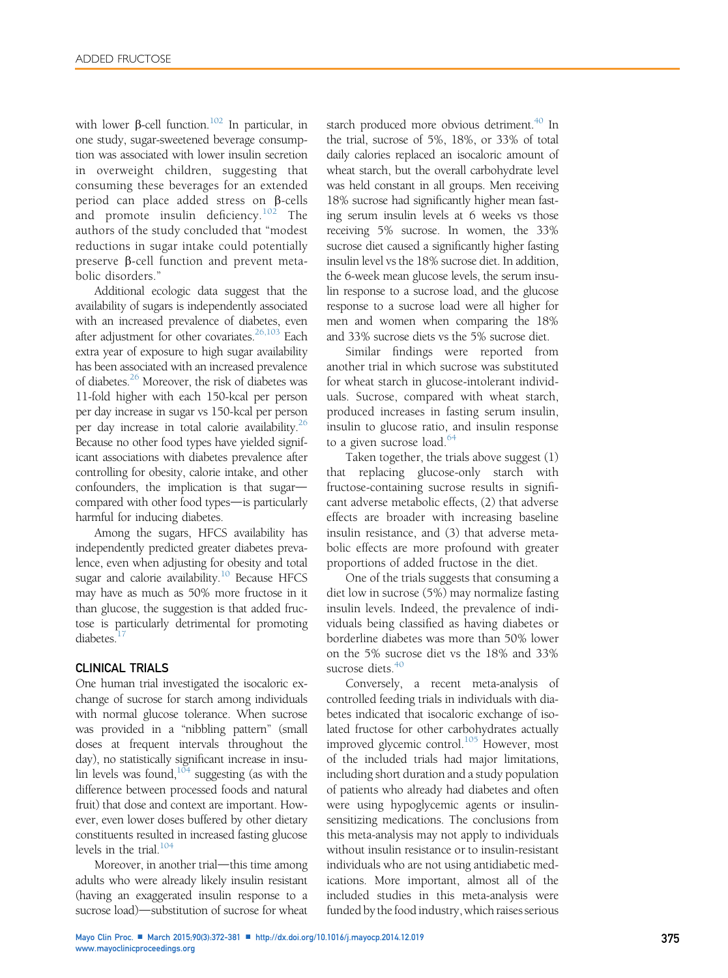with lower  $\beta$ -cell function.<sup>[102](#page-8-0)</sup> In particular, in one study, sugar-sweetened beverage consumption was associated with lower insulin secretion in overweight children, suggesting that consuming these beverages for an extended period can place added stress on  $\beta$ -cells and promote insulin deficiency.<sup>[102](#page-8-0)</sup> The authors of the study concluded that "modest reductions in sugar intake could potentially preserve  $\beta$ -cell function and prevent metabolic disorders."

Additional ecologic data suggest that the availability of sugars is independently associated with an increased prevalence of diabetes, even after adjustment for other covariates.<sup>[26,103](#page-6-0)</sup> Each extra year of exposure to high sugar availability has been associated with an increased prevalence of diabetes.[26](#page-6-0) Moreover, the risk of diabetes was 11-fold higher with each 150-kcal per person per day increase in sugar vs 150-kcal per person per day increase in total calorie availability. $^{26}$ Because no other food types have yielded significant associations with diabetes prevalence after controlling for obesity, calorie intake, and other  $confounders$ , the implication is that sugar $$ compared with other food types- is particularly harmful for inducing diabetes.

Among the sugars, HFCS availability has independently predicted greater diabetes prevalence, even when adjusting for obesity and total sugar and calorie availability.<sup>[10](#page-6-0)</sup> Because HFCS may have as much as 50% more fructose in it than glucose, the suggestion is that added fructose is particularly detrimental for promoting diabetes.<sup>1</sup>

#### CLINICAL TRIALS

One human trial investigated the isocaloric exchange of sucrose for starch among individuals with normal glucose tolerance. When sucrose was provided in a "nibbling pattern" (small doses at frequent intervals throughout the day), no statistically significant increase in insulin levels was found, $104$  suggesting (as with the difference between processed foods and natural fruit) that dose and context are important. However, even lower doses buffered by other dietary constituents resulted in increased fasting glucose levels in the trial. $104$ 

Moreover, in another trial-this time among adults who were already likely insulin resistant (having an exaggerated insulin response to a sucrose load)—substitution of sucrose for wheat starch produced more obvious detriment.<sup>[40](#page-7-0)</sup> In the trial, sucrose of 5%, 18%, or 33% of total daily calories replaced an isocaloric amount of wheat starch, but the overall carbohydrate level was held constant in all groups. Men receiving 18% sucrose had significantly higher mean fasting serum insulin levels at 6 weeks vs those receiving 5% sucrose. In women, the 33% sucrose diet caused a significantly higher fasting insulin level vs the 18% sucrose diet. In addition, the 6-week mean glucose levels, the serum insulin response to a sucrose load, and the glucose response to a sucrose load were all higher for men and women when comparing the 18% and 33% sucrose diets vs the 5% sucrose diet.

Similar findings were reported from another trial in which sucrose was substituted for wheat starch in glucose-intolerant individuals. Sucrose, compared with wheat starch, produced increases in fasting serum insulin, insulin to glucose ratio, and insulin response to a given sucrose load.<sup>[64](#page-7-0)</sup>

Taken together, the trials above suggest (1) that replacing glucose-only starch with fructose-containing sucrose results in significant adverse metabolic effects, (2) that adverse effects are broader with increasing baseline insulin resistance, and (3) that adverse metabolic effects are more profound with greater proportions of added fructose in the diet.

One of the trials suggests that consuming a diet low in sucrose (5%) may normalize fasting insulin levels. Indeed, the prevalence of individuals being classified as having diabetes or borderline diabetes was more than 50% lower on the 5% sucrose diet vs the 18% and 33% sucrose diets. $40$ 

Conversely, a recent meta-analysis of controlled feeding trials in individuals with diabetes indicated that isocaloric exchange of isolated fructose for other carbohydrates actually improved glycemic control.<sup>105</sup> However, most of the included trials had major limitations, including short duration and a study population of patients who already had diabetes and often were using hypoglycemic agents or insulinsensitizing medications. The conclusions from this meta-analysis may not apply to individuals without insulin resistance or to insulin-resistant individuals who are not using antidiabetic medications. More important, almost all of the included studies in this meta-analysis were funded by the food industry, which raises serious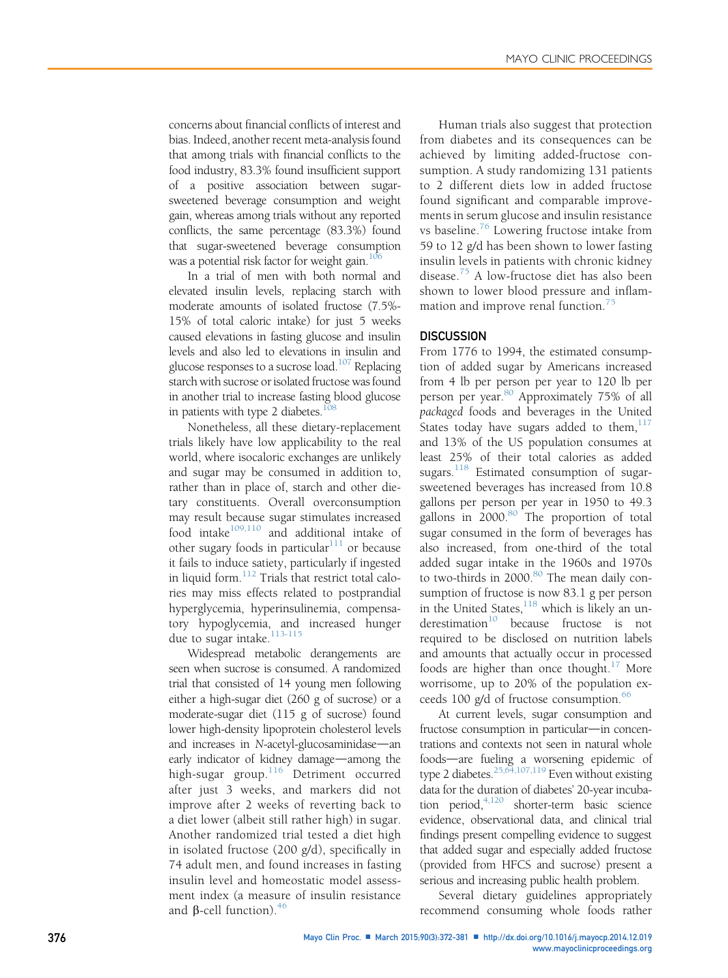concerns about financial conflicts of interest and bias. Indeed, another recent meta-analysis found that among trials with financial conflicts to the food industry, 83.3% found insufficient support of a positive association between sugarsweetened beverage consumption and weight gain, whereas among trials without any reported conflicts, the same percentage (83.3%) found that sugar-sweetened beverage consumption was a potential risk factor for weight gain.<sup>10</sup>

In a trial of men with both normal and elevated insulin levels, replacing starch with moderate amounts of isolated fructose (7.5%- 15% of total caloric intake) for just 5 weeks caused elevations in fasting glucose and insulin levels and also led to elevations in insulin and glucose responses to a sucrose load.<sup>107</sup> Replacing starch with sucrose or isolated fructose was found in another trial to increase fasting blood glucose in patients with type 2 diabetes. $108$ 

Nonetheless, all these dietary-replacement trials likely have low applicability to the real world, where isocaloric exchanges are unlikely and sugar may be consumed in addition to, rather than in place of, starch and other dietary constituents. Overall overconsumption may result because sugar stimulates increased food intake $109,110$  and additional intake of other sugary foods in particular $111$  or because it fails to induce satiety, particularly if ingested in liquid form.[112](#page-8-0) Trials that restrict total calories may miss effects related to postprandial hyperglycemia, hyperinsulinemia, compensatory hypoglycemia, and increased hunger due to sugar intake.<sup>[113-115](#page-8-0)</sup>

Widespread metabolic derangements are seen when sucrose is consumed. A randomized trial that consisted of 14 young men following either a high-sugar diet (260 g of sucrose) or a moderate-sugar diet (115 g of sucrose) found lower high-density lipoprotein cholesterol levels and increases in  $N$ -acetyl-glucosaminidase—an early indicator of kidney damage—among the high-sugar group.<sup>[116](#page-8-0)</sup> Detriment occurred after just 3 weeks, and markers did not improve after 2 weeks of reverting back to a diet lower (albeit still rather high) in sugar. Another randomized trial tested a diet high in isolated fructose (200 g/d), specifically in 74 adult men, and found increases in fasting insulin level and homeostatic model assessment index (a measure of insulin resistance and  $\beta$ -cell function).<sup>[46](#page-7-0)</sup>

Human trials also suggest that protection from diabetes and its consequences can be achieved by limiting added-fructose consumption. A study randomizing 131 patients to 2 different diets low in added fructose found significant and comparable improvements in serum glucose and insulin resistance vs baseline.<sup>[76](#page-7-0)</sup> Lowering fructose intake from 59 to 12 g/d has been shown to lower fasting insulin levels in patients with chronic kidney disease.[75](#page-7-0) A low-fructose diet has also been shown to lower blood pressure and inflam-mation and improve renal function.<sup>[75](#page-7-0)</sup>

#### **DISCUSSION**

From 1776 to 1994, the estimated consumption of added sugar by Americans increased from 4 lb per person per year to 120 lb per person per year.<sup>[80](#page-8-0)</sup> Approximately 75% of all packaged foods and beverages in the United States today have sugars added to them,  $117$ and 13% of the US population consumes at least 25% of their total calories as added sugars.<sup>[118](#page-9-0)</sup> Estimated consumption of sugarsweetened beverages has increased from 10.8 gallons per person per year in 1950 to 49.3 gallons in  $2000$ .<sup>[80](#page-8-0)</sup> The proportion of total sugar consumed in the form of beverages has also increased, from one-third of the total added sugar intake in the 1960s and 1970s to two-thirds in  $2000$ .<sup>[80](#page-8-0)</sup> The mean daily consumption of fructose is now 83.1 g per person in the United States,  $\frac{118}{10}$  which is likely an underestimation $10$  because fructose is not required to be disclosed on nutrition labels and amounts that actually occur in processed foods are higher than once thought.<sup>[17](#page-6-0)</sup> More worrisome, up to 20% of the population exceeds 100  $g/d$  of fructose consumption.<sup>[66](#page-7-0)</sup>

At current levels, sugar consumption and fructose consumption in particular—in concentrations and contexts not seen in natural whole foods—are fueling a worsening epidemic of type 2 diabetes.<sup>[25,64,107,119](#page-6-0)</sup> Even without existing data for the duration of diabetes' 20-year incubation period,  $4,120$  shorter-term basic science evidence, observational data, and clinical trial findings present compelling evidence to suggest that added sugar and especially added fructose (provided from HFCS and sucrose) present a serious and increasing public health problem.

Several dietary guidelines appropriately recommend consuming whole foods rather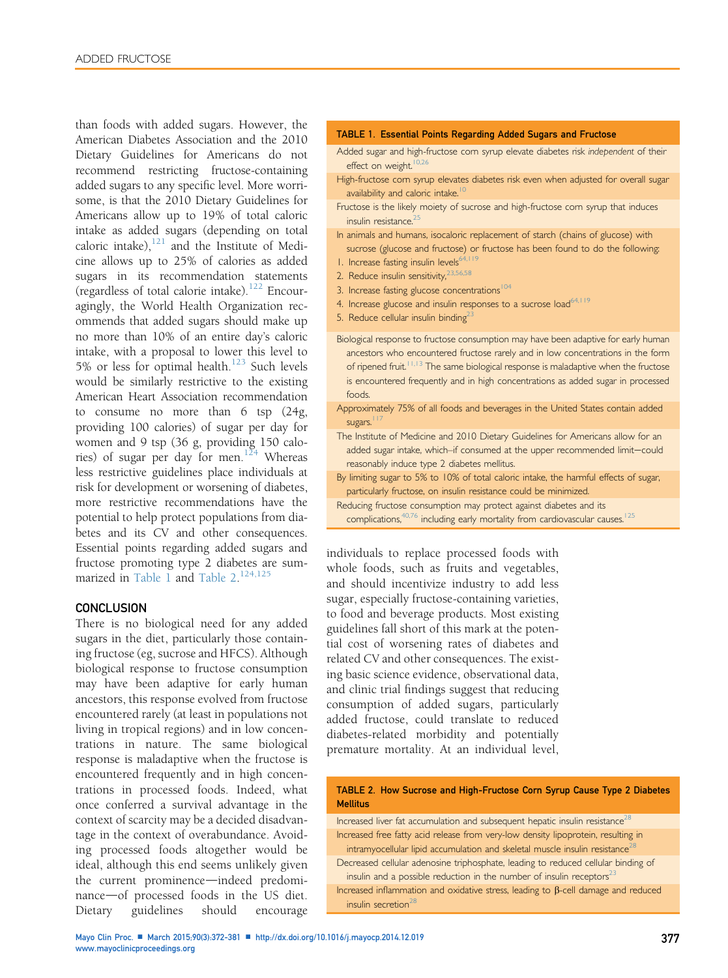than foods with added sugars. However, the American Diabetes Association and the 2010 Dietary Guidelines for Americans do not recommend restricting fructose-containing added sugars to any specific level. More worrisome, is that the 2010 Dietary Guidelines for Americans allow up to 19% of total caloric intake as added sugars (depending on total caloric intake), $^{121}$  $^{121}$  $^{121}$  and the Institute of Medicine allows up to 25% of calories as added sugars in its recommendation statements (regardless of total calorie intake).[122](#page-9-0) Encouragingly, the World Health Organization recommends that added sugars should make up no more than 10% of an entire day's caloric intake, with a proposal to lower this level to 5% or less for optimal health. $123$  Such levels would be similarly restrictive to the existing American Heart Association recommendation to consume no more than 6 tsp (24g, providing 100 calories) of sugar per day for women and 9 tsp (36 g, providing 150 calories) of sugar per day for men. $124$  Whereas less restrictive guidelines place individuals at risk for development or worsening of diabetes, more restrictive recommendations have the potential to help protect populations from diabetes and its CV and other consequences. Essential points regarding added sugars and fructose promoting type 2 diabetes are sum-marized in Table 1 and Table 2.<sup>[124,125](#page-9-0)</sup>

#### **CONCLUSION**

There is no biological need for any added sugars in the diet, particularly those containing fructose (eg, sucrose and HFCS). Although biological response to fructose consumption may have been adaptive for early human ancestors, this response evolved from fructose encountered rarely (at least in populations not living in tropical regions) and in low concentrations in nature. The same biological response is maladaptive when the fructose is encountered frequently and in high concentrations in processed foods. Indeed, what once conferred a survival advantage in the context of scarcity may be a decided disadvantage in the context of overabundance. Avoiding processed foods altogether would be ideal, although this end seems unlikely given the current prominence—indeed predominance-of processed foods in the US diet. Dietary guidelines should encourage

#### TABLE 1. Essential Points Regarding Added Sugars and Fructose

- Added sugar and high-fructose com syrup elevate diabetes risk independent of their effect on weight. $10,26$
- High-fructose corn syrup elevates diabetes risk even when adjusted for overall sugar availability and caloric intake.<sup>10</sup>
- Fructose is the likely moiety of sucrose and high-fructose com syrup that induces insulin resistance.<sup>25</sup>
- In animals and humans, isocaloric replacement of starch (chains of glucose) with sucrose (glucose and fructose) or fructose has been found to do the following:
- 1. Increase fasting insulin levels<sup>64,119</sup>
- 2. Reduce insulin sensitivity, [23,56,58](#page-6-0)
- 3. Increase fasting glucose concentrations<sup>[104](#page-8-0)</sup>
- 4. Increase glucose and insulin responses to a sucrose load<sup>[64,119](#page-7-0)</sup>
- 5. Reduce cellular insulin binding<sup>23</sup>
- Biological response to fructose consumption may have been adaptive for early human ancestors who encountered fructose rarely and in low concentrations in the form of ripened fruit.<sup>[11,13](#page-6-0)</sup> The same biological response is maladaptive when the fructose is encountered frequently and in high concentrations as added sugar in processed foods.
- Approximately 75% of all foods and beverages in the United States contain added sugars.<sup>[117](#page-9-0)</sup>
- The Institute of Medicine and 2010 Dietary Guidelines for Americans allow for an added sugar intake, which–if consumed at the upper recommended limit-could reasonably induce type 2 diabetes mellitus.
- By limiting sugar to 5% to 10% of total caloric intake, the harmful effects of sugar, particularly fructose, on insulin resistance could be minimized.
- Reducing fructose consumption may protect against diabetes and its complications,<sup>[40,76](#page-7-0)</sup> including early mortality from cardiovascular causes.<sup>[125](#page-9-0)</sup>

individuals to replace processed foods with whole foods, such as fruits and vegetables, and should incentivize industry to add less sugar, especially fructose-containing varieties, to food and beverage products. Most existing guidelines fall short of this mark at the potential cost of worsening rates of diabetes and related CV and other consequences. The existing basic science evidence, observational data, and clinic trial findings suggest that reducing consumption of added sugars, particularly added fructose, could translate to reduced diabetes-related morbidity and potentially premature mortality. At an individual level,

TABLE 2. How Sucrose and High-Fructose Corn Syrup Cause Type 2 Diabetes Mellitus

Increased liver fat accumulation and subsequent hepatic insulin resistance<sup>28</sup> Increased free fatty acid release from very-low density lipoprotein, resulting in intramyocellular lipid accumulation and skeletal muscle insulin resistance<sup>2</sup>

Decreased cellular adenosine triphosphate, leading to reduced cellular binding of insulin and a possible reduction in the number of insulin receptors $^{23}$ 

Increased inflammation and oxidative stress, leading to  $\beta$ -cell damage and reduced insulin secretion<sup>28</sup>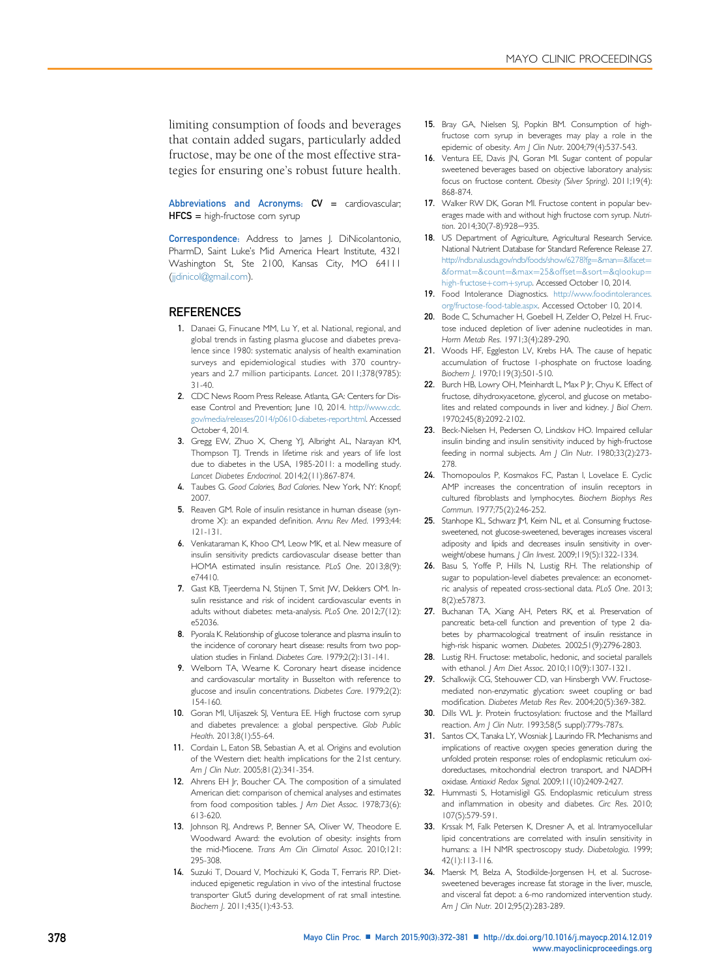<span id="page-6-0"></span>limiting consumption of foods and beverages that contain added sugars, particularly added fructose, may be one of the most effective strategies for ensuring one's robust future health.

Abbreviations and Acronyms:  $CV = \text{cardi}$ HFCS = high-fructose corn syrup

Correspondence: Address to James J. DiNicolantonio, PharmD, Saint Luke's Mid America Heart Institute, 4321 Washington St, Ste 2100, Kansas City, MO 64111 [\(jjdinicol@gmail.com](mailto:jjdinicol@gmail.com)).

#### REFERENCES

- 1. Danaei G, Finucane MM, Lu Y, et al. National, regional, and global trends in fasting plasma glucose and diabetes prevalence since 1980: systematic analysis of health examination surveys and epidemiological studies with 370 countryyears and 2.7 million participants. Lancet. 2011;378(9785): 31-40.
- 2. CDC News Room Press Release. Atlanta, GA: Centers for Disease Control and Prevention; June 10, 2014. [http://www.cdc.](http://www.cdc.gov/media/releases/2014/p0610-diabetes-report.html) [gov/media/releases/2014/p0610-diabetes-report.html.](http://www.cdc.gov/media/releases/2014/p0610-diabetes-report.html) Accessed October 4, 2014.
- 3. Gregg EW, Zhuo X, Cheng YJ, Albright AL, Narayan KM, Thompson TJ. Trends in lifetime risk and years of life lost due to diabetes in the USA, 1985-2011: a modelling study. Lancet Diabetes Endocrinol. 2014;2(11):867-874.
- 4. Taubes G. Good Calories, Bad Calories. New York, NY: Knopf; 2007.
- 5. Reaven GM. Role of insulin resistance in human disease (syndrome X): an expanded definition. Annu Rev Med. 1993;44: 121-131.
- 6. Venkataraman K, Khoo CM, Leow MK, et al. New measure of insulin sensitivity predicts cardiovascular disease better than HOMA estimated insulin resistance. PLoS One. 2013;8(9): e74410.
- 7. Gast KB, Tjeerdema N, Stijnen T, Smit JW, Dekkers OM. Insulin resistance and risk of incident cardiovascular events in adults without diabetes: meta-analysis. PLoS One. 2012;7(12): e52036.
- 8. Pyorala K. Relationship of glucose tolerance and plasma insulin to the incidence of coronary heart disease: results from two population studies in Finland. Diabetes Care. 1979;2(2):131-141.
- 9. Welborn TA, Wearne K. Coronary heart disease incidence and cardiovascular mortality in Busselton with reference to glucose and insulin concentrations. Diabetes Care. 1979;2(2): 154-160.
- 10. Goran MI, Ulijaszek SJ, Ventura EE. High fructose com syrup and diabetes prevalence: a global perspective. Glob Public Health. 2013;8(1):55-64.
- 11. Cordain L, Eaton SB, Sebastian A, et al. Origins and evolution of the Western diet: health implications for the 21st century. Am | Clin Nutr. 2005;81(2):341-354.
- 12. Ahrens EH Jr, Boucher CA. The composition of a simulated American diet: comparison of chemical analyses and estimates from food composition tables. J Am Diet Assoc. 1978;73(6): 613-620.
- 13. Johnson RJ, Andrews P, Benner SA, Oliver W, Theodore E. Woodward Award: the evolution of obesity: insights from the mid-Miocene. Trans Am Clin Climatol Assoc. 2010;121: 295-308.
- 14. Suzuki T, Douard V, Mochizuki K, Goda T, Ferraris RP. Dietinduced epigenetic regulation in vivo of the intestinal fructose transporter Glut5 during development of rat small intestine. Biochem J. 2011;435(1):43-53.
- 15. Bray GA, Nielsen SJ, Popkin BM. Consumption of highfructose corn syrup in beverages may play a role in the epidemic of obesity. Am | Clin Nutr. 2004;79(4):537-543.
- 16. Ventura EE, Davis JN, Goran MI. Sugar content of popular sweetened beverages based on objective laboratory analysis: focus on fructose content. Obesity (Silver Spring). 2011;19(4): 868-874.
- 17. Walker RW DK, Goran MI. Fructose content in popular beverages made with and without high fructose corn syrup. Nutrition. 2014;30(7-8):928-935.
- 18. US Department of Agriculture, Agricultural Research Service. National Nutrient Database for Standard Reference Release 27. [http://ndb.nal.usda.gov/ndb/foods/show/6278?fg](http://ndb.nal.usda.gov/ndb/foods/show/6278?fg=%26man=%26lfacet=%26format=%26count=%26max=25%26offset=%26sort=%26qlookup=high-fructose+corn+syrup)=[&man](http://ndb.nal.usda.gov/ndb/foods/show/6278?fg=%26man=%26lfacet=%26format=%26count=%26max=25%26offset=%26sort=%26qlookup=high-fructose+corn+syrup)=[&lfacet](http://ndb.nal.usda.gov/ndb/foods/show/6278?fg=%26man=%26lfacet=%26format=%26count=%26max=25%26offset=%26sort=%26qlookup=high-fructose+corn+syrup)=  $&6$ format=[&count](http://ndb.nal.usda.gov/ndb/foods/show/6278?fg=%26man=%26lfacet=%26format=%26count=%26max=25%26offset=%26sort=%26qlookup=high-fructose+corn+syrup)=[&max](http://ndb.nal.usda.gov/ndb/foods/show/6278?fg=%26man=%26lfacet=%26format=%26count=%26max=25%26offset=%26sort=%26qlookup=high-fructose+corn+syrup)=[25&offset](http://ndb.nal.usda.gov/ndb/foods/show/6278?fg=%26man=%26lfacet=%26format=%26count=%26max=25%26offset=%26sort=%26qlookup=high-fructose+corn+syrup)=[&sort](http://ndb.nal.usda.gov/ndb/foods/show/6278?fg=%26man=%26lfacet=%26format=%26count=%26max=25%26offset=%26sort=%26qlookup=high-fructose+corn+syrup)=&glookup= [high-fructose](http://ndb.nal.usda.gov/ndb/foods/show/6278?fg=%26man=%26lfacet=%26format=%26count=%26max=25%26offset=%26sort=%26qlookup=high-fructose+corn+syrup)+com+[syrup](http://ndb.nal.usda.gov/ndb/foods/show/6278?fg=%26man=%26lfacet=%26format=%26count=%26max=25%26offset=%26sort=%26qlookup=high-fructose+corn+syrup). Accessed October 10, 2014.
- 19. Food Intolerance Diagnostics. [http://www.foodintolerances.](http://www.foodintolerances.org/fructose-food-table.aspx) [org/fructose-food-table.aspx.](http://www.foodintolerances.org/fructose-food-table.aspx) Accessed October 10, 2014.
- 20. Bode C, Schumacher H, Goebell H, Zelder O, Pelzel H. Fructose induced depletion of liver adenine nucleotides in man. Horm Metab Res. 1971;3(4):289-290.
- 21. Woods HF, Eggleston LV, Krebs HA. The cause of hepatic accumulation of fructose 1-phosphate on fructose loading. Biochem J. 1970;119(3):501-510.
- 22. Burch HB, Lowry OH, Meinhardt L, Max P Jr, Chyu K. Effect of fructose, dihydroxyacetone, glycerol, and glucose on metabolites and related compounds in liver and kidney. J Biol Chem. 1970;245(8):2092-2102.
- 23. Beck-Nielsen H, Pedersen O, Lindskov HO. Impaired cellular insulin binding and insulin sensitivity induced by high-fructose feeding in normal subjects. Am J Clin Nutr. 1980;33(2):273-278.
- 24. Thomopoulos P, Kosmakos FC, Pastan I, Lovelace E. Cyclic AMP increases the concentration of insulin receptors in cultured fibroblasts and lymphocytes. Biochem Biophys Res Commun. 1977;75(2):246-252.
- 25. Stanhope KL, Schwarz JM, Keim NL, et al. Consuming fructosesweetened, not glucose-sweetened, beverages increases visceral adiposity and lipids and decreases insulin sensitivity in overweight/obese humans. J Clin Invest. 2009;119(5):1322-1334.
- 26. Basu S, Yoffe P, Hills N, Lustig RH. The relationship of sugar to population-level diabetes prevalence: an econometric analysis of repeated cross-sectional data. PLoS One. 2013; 8(2):e57873.
- 27. Buchanan TA, Xiang AH, Peters RK, et al. Preservation of pancreatic beta-cell function and prevention of type 2 diabetes by pharmacological treatment of insulin resistance in high-risk hispanic women. Diabetes. 2002;51(9):2796-2803.
- 28. Lustig RH. Fructose: metabolic, hedonic, and societal parallels with ethanol. J Am Diet Assoc. 2010;110(9):1307-1321.
- 29. Schalkwijk CG, Stehouwer CD, van Hinsbergh VW. Fructosemediated non-enzymatic glycation: sweet coupling or bad modification. Diabetes Metab Res Rev. 2004;20(5):369-382.
- 30. Dills WL Jr. Protein fructosylation: fructose and the Maillard reaction. Am J Clin Nutr. 1993;58(5 suppl):779s-787s.
- 31. Santos CX, Tanaka LY, Wosniak J, Laurindo FR. Mechanisms and implications of reactive oxygen species generation during the unfolded protein response: roles of endoplasmic reticulum oxidoreductases, mitochondrial electron transport, and NADPH oxidase. Antioxid Redox Signal. 2009;11(10):2409-2427.
- 32. Hummasti S, Hotamisligil GS. Endoplasmic reticulum stress and inflammation in obesity and diabetes. Circ Res. 2010; 107(5):579-591.
- 33. Krssak M, Falk Petersen K, Dresner A, et al. Intramyocellular lipid concentrations are correlated with insulin sensitivity in humans: a 1H NMR spectroscopy study. Diabetologia. 1999; 42(1):113-116.
- 34. Maersk M, Belza A, Stodkilde-Jorgensen H, et al. Sucrosesweetened beverages increase fat storage in the liver, muscle, and visceral fat depot: a 6-mo randomized intervention study. Am | Clin Nutr. 2012;95(2):283-289.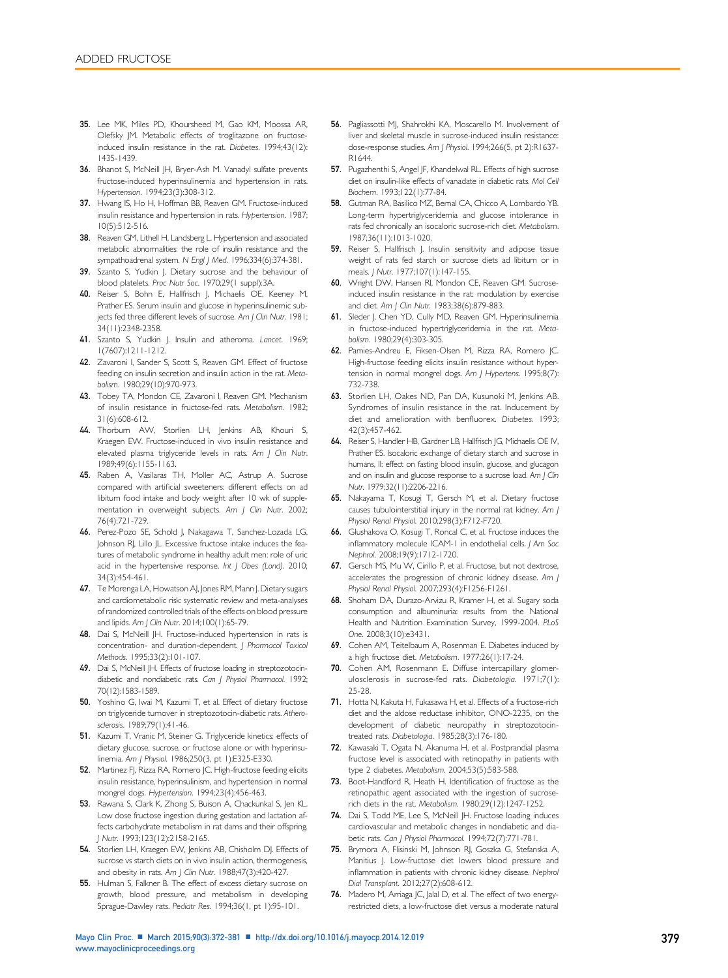- <span id="page-7-0"></span>35. Lee MK, Miles PD, Khoursheed M, Gao KM, Moossa AR, Olefsky JM. Metabolic effects of troglitazone on fructoseinduced insulin resistance in the rat. Diabetes. 1994;43(12): 1435-1439.
- 36. Bhanot S, McNeill JH, Bryer-Ash M. Vanadyl sulfate prevents fructose-induced hyperinsulinemia and hypertension in rats. Hypertension. 1994;23(3):308-312.
- 37. Hwang IS, Ho H, Hoffman BB, Reaven GM. Fructose-induced insulin resistance and hypertension in rats. Hypertension. 1987; 10(5):512-516.
- 38. Reaven GM, Lithell H, Landsberg L. Hypertension and associated metabolic abnormalities: the role of insulin resistance and the sympathoadrenal system. N Engl J Med. 1996;334(6):374-381.
- 39. Szanto S, Yudkin J. Dietary sucrose and the behaviour of blood platelets. Proc Nutr Soc. 1970;29(1 suppl):3A.
- 40. Reiser S, Bohn E, Hallfrisch J, Michaelis OE, Keeney M, Prather ES. Serum insulin and glucose in hyperinsulinemic subjects fed three different levels of sucrose. Am J Clin Nutr. 1981; 34(11):2348-2358.
- 41. Szanto S, Yudkin J. Insulin and atheroma. Lancet. 1969; 1(7607):1211-1212.
- 42. Zavaroni I, Sander S, Scott S, Reaven GM. Effect of fructose feeding on insulin secretion and insulin action in the rat. Metabolism. 1980;29(10):970-973.
- 43. Tobey TA, Mondon CE, Zavaroni I, Reaven GM. Mechanism of insulin resistance in fructose-fed rats. Metabolism. 1982; 31(6):608-612.
- 44. Thorburn AW, Storlien LH, Jenkins AB, Khouri S, Kraegen EW. Fructose-induced in vivo insulin resistance and elevated plasma triglyceride levels in rats. Am J Clin Nutr. 1989;49(6):1155-1163.
- 45. Raben A, Vasilaras TH, Moller AC, Astrup A. Sucrose compared with artificial sweeteners: different effects on ad libitum food intake and body weight after 10 wk of supplementation in overweight subjects. Am J Clin Nutr. 2002; 76(4):721-729.
- 46. Perez-Pozo SE, Schold J, Nakagawa T, Sanchez-Lozada LG, Johnson RJ, Lillo JL. Excessive fructose intake induces the features of metabolic syndrome in healthy adult men: role of uric acid in the hypertensive response. Int J Obes (Lond). 2010; 34(3):454-461.
- 47. Te Morenga LA, Howatson AJ, Jones RM, Mann J. Dietary sugars and cardiometabolic risk: systematic review and meta-analyses of randomized controlled trials of the effects on blood pressure and lipids. Am J Clin Nutr. 2014;100(1):65-79.
- 48. Dai S, McNeill JH. Fructose-induced hypertension in rats is concentration- and duration-dependent. J Pharmacol Toxicol Methods. 1995;33(2):101-107.
- 49. Dai S, McNeill JH. Effects of fructose loading in streptozotocindiabetic and nondiabetic rats. Can J Physiol Pharmacol. 1992; 70(12):1583-1589.
- 50. Yoshino G, Iwai M, Kazumi T, et al. Effect of dietary fructose on triglyceride turnover in streptozotocin-diabetic rats. Atherosclerosis. 1989;79(1):41-46.
- 51. Kazumi T, Vranic M, Steiner G. Triglyceride kinetics: effects of dietary glucose, sucrose, or fructose alone or with hyperinsulinemia. Am J Physiol. 1986;250(3, pt 1):E325-E330.
- 52. Martinez FJ, Rizza RA, Romero JC. High-fructose feeding elicits insulin resistance, hyperinsulinism, and hypertension in normal mongrel dogs. Hypertension. 1994;23(4):456-463.
- 53. Rawana S, Clark K, Zhong S, Buison A, Chackunkal S, Jen KL. Low dose fructose ingestion during gestation and lactation affects carbohydrate metabolism in rat dams and their offspring. J Nutr. 1993;123(12):2158-2165.
- 54. Storlien LH, Kraegen EW, Jenkins AB, Chisholm DJ. Effects of sucrose vs starch diets on in vivo insulin action, thermogenesis, and obesity in rats. Am | Clin Nutr. 1988;47(3):420-427.
- 55. Hulman S, Falkner B. The effect of excess dietary sucrose on growth, blood pressure, and metabolism in developing Sprague-Dawley rats. Pediatr Res. 1994;36(1, pt 1):95-101.
- 56. Pagliassotti MJ, Shahrokhi KA, Moscarello M. Involvement of liver and skeletal muscle in sucrose-induced insulin resistance: dose-response studies. Am J Physiol. 1994;266(5, pt 2):R1637- R1644.
- 57. Pugazhenthi S, Angel JF, Khandelwal RL. Effects of high sucrose diet on insulin-like effects of vanadate in diabetic rats. Mol Cell Biochem. 1993;122(1):77-84.
- 58. Gutman RA, Basilico MZ, Bernal CA, Chicco A, Lombardo YB. Long-term hypertriglyceridemia and glucose intolerance in rats fed chronically an isocaloric sucrose-rich diet. Metabolism. 1987;36(11):1013-1020.
- 59. Reiser S, Hallfrisch J. Insulin sensitivity and adipose tissue weight of rats fed starch or sucrose diets ad libitum or in meals. J Nutr. 1977;107(1):147-155.
- 60. Wright DW, Hansen RI, Mondon CE, Reaven GM. Sucroseinduced insulin resistance in the rat: modulation by exercise and diet. Am | Clin Nutr. 1983;38(6):879-883.
- 61. Sleder J, Chen YD, Cully MD, Reaven GM. Hyperinsulinemia in fructose-induced hypertriglyceridemia in the rat. Metabolism. 1980;29(4):303-305.
- 62. Pamies-Andreu E, Fiksen-Olsen M, Rizza RA, Romero JC. High-fructose feeding elicits insulin resistance without hypertension in normal mongrel dogs. Am J Hypertens. 1995;8(7): 732-738.
- 63. Storlien LH, Oakes ND, Pan DA, Kusunoki M, Jenkins AB. Syndromes of insulin resistance in the rat. Inducement by diet and amelioration with benfluorex. Diabetes. 1993; 42(3):457-462.
- 64. Reiser S, Handler HB, Gardner LB, Hallfrisch JG, Michaelis OE IV, Prather ES. Isocaloric exchange of dietary starch and sucrose in humans, II: effect on fasting blood insulin, glucose, and glucagon and on insulin and glucose response to a sucrose load. Am J Clin Nutr. 1979;32(11):2206-2216.
- 65. Nakayama T, Kosugi T, Gersch M, et al. Dietary fructose causes tubulointerstitial injury in the normal rat kidney. Am J Physiol Renal Physiol. 2010;298(3):F712-F720.
- 66. Glushakova O, Kosugi T, Roncal C, et al. Fructose induces the inflammatory molecule ICAM-1 in endothelial cells. J Am Soc Nephrol. 2008;19(9):1712-1720.
- 67. Gersch MS, Mu W, Cirillo P, et al. Fructose, but not dextrose, accelerates the progression of chronic kidney disease. Am J Physiol Renal Physiol. 2007;293(4):F1256-F1261.
- 68. Shoham DA, Durazo-Arvizu R, Kramer H, et al. Sugary soda consumption and albuminuria: results from the National Health and Nutrition Examination Survey, 1999-2004. PLoS One. 2008;3(10):e3431.
- 69. Cohen AM, Teitelbaum A, Rosenman E. Diabetes induced by a high fructose diet. Metabolism. 1977;26(1):17-24.
- 70. Cohen AM, Rosenmann E. Diffuse intercapillary glomerulosclerosis in sucrose-fed rats. Diabetologia. 1971;7(1): 25-28.
- 71. Hotta N, Kakuta H, Fukasawa H, et al. Effects of a fructose-rich diet and the aldose reductase inhibitor, ONO-2235, on the development of diabetic neuropathy in streptozotocintreated rats. Diabetologia. 1985;28(3):176-180.
- 72. Kawasaki T, Ogata N, Akanuma H, et al. Postprandial plasma fructose level is associated with retinopathy in patients with type 2 diabetes. Metabolism. 2004;53(5):583-588.
- 73. Boot-Handford R, Heath H. Identification of fructose as the retinopathic agent associated with the ingestion of sucroserich diets in the rat. Metabolism. 1980;29(12):1247-1252.
- 74. Dai S, Todd ME, Lee S, McNeill JH. Fructose loading induces cardiovascular and metabolic changes in nondiabetic and diabetic rats. Can J Physiol Pharmacol. 1994;72(7):771-781.
- 75. Brymora A, Flisinski M, Johnson RJ, Goszka G, Stefanska A, Manitius J. Low-fructose diet lowers blood pressure and inflammation in patients with chronic kidney disease. Nephrol Dial Transplant. 2012;27(2):608-612.
- 76. Madero M, Arriaga JC, Jalal D, et al. The effect of two energyrestricted diets, a low-fructose diet versus a moderate natural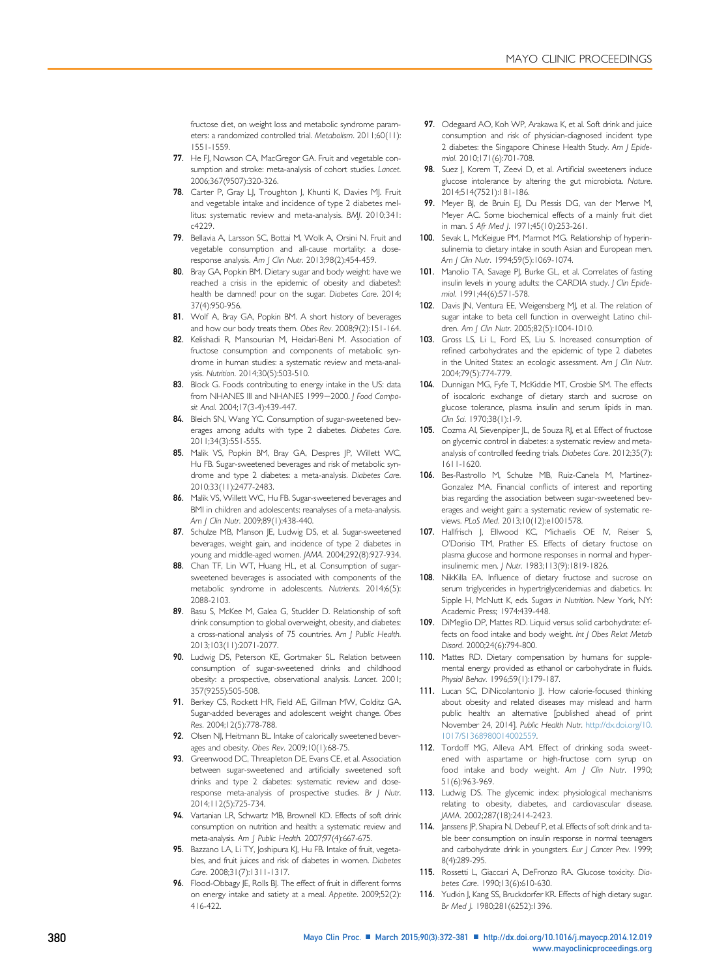<span id="page-8-0"></span>fructose diet, on weight loss and metabolic syndrome parameters: a randomized controlled trial. Metabolism. 2011;60(11): 1551-1559.

- 77. He FJ, Nowson CA, MacGregor GA. Fruit and vegetable consumption and stroke: meta-analysis of cohort studies. Lancet. 2006;367(9507):320-326.
- 78. Carter P, Gray LJ, Troughton J, Khunti K, Davies MJ. Fruit and vegetable intake and incidence of type 2 diabetes mellitus: systematic review and meta-analysis. BMJ. 2010;341: c4229.
- 79. Bellavia A, Larsson SC, Bottai M, Wolk A, Orsini N. Fruit and vegetable consumption and all-cause mortality: a doseresponse analysis. Am J Clin Nutr. 2013;98(2):454-459.
- 80. Bray GA, Popkin BM. Dietary sugar and body weight: have we reached a crisis in the epidemic of obesity and diabetes?: health be damned! pour on the sugar. Diabetes Care. 2014; 37(4):950-956.
- 81. Wolf A, Bray GA, Popkin BM. A short history of beverages and how our body treats them. Obes Rev. 2008;9(2):151-164.
- 82. Kelishadi R, Mansourian M, Heidari-Beni M. Association of fructose consumption and components of metabolic syndrome in human studies: a systematic review and meta-analysis. Nutrition. 2014;30(5):503-510.
- Block G. Foods contributing to energy intake in the US: data from NHANES III and NHANES 1999-2000. J Food Composit Anal. 2004;17(3-4):439-447.
- 84. Bleich SN, Wang YC. Consumption of sugar-sweetened beverages among adults with type 2 diabetes. Diabetes Care. 2011;34(3):551-555.
- 85. Malik VS, Popkin BM, Bray GA, Despres JP, Willett WC, Hu FB. Sugar-sweetened beverages and risk of metabolic syndrome and type 2 diabetes: a meta-analysis. Diabetes Care. 2010;33(11):2477-2483.
- 86. Malik VS, Willett WC, Hu FB. Sugar-sweetened beverages and BMI in children and adolescents: reanalyses of a meta-analysis. Am | Clin Nutr. 2009;89(1):438-440.
- 87. Schulze MB, Manson JE, Ludwig DS, et al. Sugar-sweetened beverages, weight gain, and incidence of type 2 diabetes in young and middle-aged women. JAMA. 2004;292(8):927-934.
- 88. Chan TF, Lin WT, Huang HL, et al. Consumption of sugarsweetened beverages is associated with components of the metabolic syndrome in adolescents. Nutrients. 2014;6(5): 2088-2103.
- 89. Basu S, McKee M, Galea G, Stuckler D. Relationship of soft drink consumption to global overweight, obesity, and diabetes: a cross-national analysis of 75 countries. Am J Public Health. 2013;103(11):2071-2077.
- 90. Ludwig DS, Peterson KE, Gortmaker SL. Relation between consumption of sugar-sweetened drinks and childhood obesity: a prospective, observational analysis. Lancet. 2001; 357(9255):505-508.
- 91. Berkey CS, Rockett HR, Field AE, Gillman MW, Colditz GA. Sugar-added beverages and adolescent weight change. Obes Res. 2004;12(5):778-788.
- 92. Olsen NJ, Heitmann BL. Intake of calorically sweetened beverages and obesity. Obes Rev. 2009;10(1):68-75.
- 93. Greenwood DC, Threapleton DE, Evans CE, et al. Association between sugar-sweetened and artificially sweetened soft drinks and type 2 diabetes: systematic review and doseresponse meta-analysis of prospective studies. Br J Nutr. 2014;112(5):725-734.
- 94. Vartanian LR, Schwartz MB, Brownell KD. Effects of soft drink consumption on nutrition and health: a systematic review and meta-analysis. Am J Public Health. 2007;97(4):667-675.
- 95. Bazzano LA, Li TY, Joshipura KJ, Hu FB. Intake of fruit, vegetables, and fruit juices and risk of diabetes in women. Diabetes Care. 2008;31(7):1311-1317.
- 96. Flood-Obbagy JE, Rolls BJ. The effect of fruit in different forms on energy intake and satiety at a meal. Appetite. 2009;52(2): 416-422.
- 97. Odegaard AO, Koh WP, Arakawa K, et al. Soft drink and juice consumption and risk of physician-diagnosed incident type 2 diabetes: the Singapore Chinese Health Study. Am | Epidemiol. 2010;171(6):701-708.
- 98. Suez J, Korem T, Zeevi D, et al. Artificial sweeteners induce glucose intolerance by altering the gut microbiota. Nature. 2014;514(7521):181-186.
- 99. Meyer BJ, de Bruin EJ, Du Plessis DG, van der Merwe M, Meyer AC. Some biochemical effects of a mainly fruit diet in man. S Afr Med I. 1971:45(10):253-261.
- 100. Sevak L, McKeigue PM, Marmot MG. Relationship of hyperinsulinemia to dietary intake in south Asian and European men. Am | Clin Nutr. 1994;59(5):1069-1074.
- 101. Manolio TA, Savage PJ, Burke GL, et al. Correlates of fasting insulin levels in young adults: the CARDIA study. J Clin Epidemiol. 1991;44(6):571-578.
- 102. Davis JN, Ventura EE, Weigensberg MJ, et al. The relation of sugar intake to beta cell function in overweight Latino children. Am J Clin Nutr. 2005;82(5):1004-1010.
- 103. Gross LS, Li L, Ford ES, Liu S. Increased consumption of refined carbohydrates and the epidemic of type 2 diabetes in the United States: an ecologic assessment. Am J Clin Nutr. 2004;79(5):774-779.
- 104. Dunnigan MG, Fyfe T, McKiddie MT, Crosbie SM. The effects of isocaloric exchange of dietary starch and sucrose on glucose tolerance, plasma insulin and serum lipids in man. Clin Sci. 1970;38(1):1-9.
- 105. Cozma AI, Sievenpiper JL, de Souza RJ, et al. Effect of fructose on glycemic control in diabetes: a systematic review and metaanalysis of controlled feeding trials. Diabetes Care. 2012;35(7): 1611-1620.
- 106. Bes-Rastrollo M, Schulze MB, Ruiz-Canela M, Martinez-Gonzalez MA. Financial conflicts of interest and reporting bias regarding the association between sugar-sweetened beverages and weight gain: a systematic review of systematic reviews. PLoS Med. 2013;10(12):e1001578.
- 107. Hallfrisch I, Ellwood KC, Michaelis OE IV, Reiser S, O'Dorisio TM, Prather ES. Effects of dietary fructose on plasma glucose and hormone responses in normal and hyperinsulinemic men. J Nutr. 1983;113(9):1819-1826.
- 108. NikKilla EA. Influence of dietary fructose and sucrose on serum triglycerides in hypertriglyceridemias and diabetics. In: Sipple H, McNutt K, eds. Sugars in Nutrition. New York, NY: Academic Press; 1974:439-448.
- 109. DiMeglio DP, Mattes RD. Liquid versus solid carbohydrate: effects on food intake and body weight. Int J Obes Relat Metab Disord. 2000;24(6):794-800.
- 110. Mattes RD. Dietary compensation by humans for supplemental energy provided as ethanol or carbohydrate in fluids. Physiol Behav. 1996;59(1):179-187.
- 111. Lucan SC, DiNicolantonio JJ. How calorie-focused thinking about obesity and related diseases may mislead and harm public health: an alternative [published ahead of print November 24, 2014]. Public Health Nutr. [http://dx.doi.org/10.](http://dx.doi.org/10.1017/S1368980014002559) [1017/S1368980014002559.](http://dx.doi.org/10.1017/S1368980014002559)
- 112. Tordoff MG, Alleva AM. Effect of drinking soda sweetened with aspartame or high-fructose com syrup on food intake and body weight. Am J Clin Nutr. 1990; 51(6):963-969.
- 113. Ludwig DS. The glycemic index: physiological mechanisms relating to obesity, diabetes, and cardiovascular disease. JAMA. 2002;287(18):2414-2423.
- 114. Janssens JP, Shapira N, Debeuf P, et al. Effects of soft drink and table beer consumption on insulin response in normal teenagers and carbohydrate drink in youngsters. Eur J Cancer Prev. 1999; 8(4):289-295.
- 115. Rossetti L, Giaccari A, DeFronzo RA. Glucose toxicity. Diabetes Care. 1990;13(6):610-630.
- 116. Yudkin J, Kang SS, Bruckdorfer KR. Effects of high dietary sugar. Br Med J. 1980;281(6252):1396.